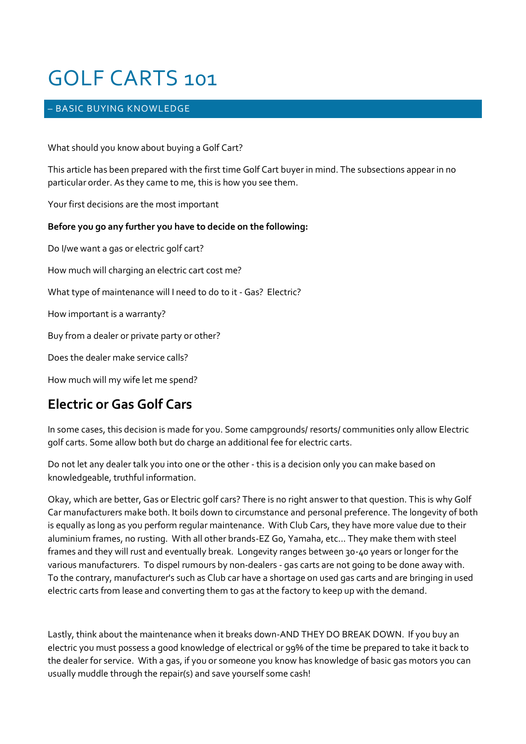# GOLF CARTS 101

# – BASIC BUYING KNOWLEDGE

What should you know about buying a Golf Cart?

This article has been prepared with the first time Golf Cart buyer in mind. The subsections appear in no particular order. As they came to me, this is how you see them.

Your first decisions are the most important

#### **Before you go any further you have to decide on the following:**

Do I/we want a gas or electric golf cart? How much will charging an electric cart cost me? What type of maintenance will I need to do to it - Gas? Electric? How important is a warranty? Buy from a dealer or private party or other? Does the dealer make service calls? How much will my wife let me spend?

# **Electric or Gas Golf Cars**

In some cases, this decision is made for you. Some campgrounds/ resorts/ communities only allow Electric golf carts. Some allow both but do charge an additional fee for electric carts.

Do not let any dealer talk you into one or the other - this is a decision only you can make based on knowledgeable, truthful information.

Okay, which are better, Gas or Electric golf cars? There is no right answer to that question. This is why Golf Car manufacturers make both. It boils down to circumstance and personal preference. The longevity of both is equally as long as you perform regular maintenance. With Club Cars, they have more value due to their aluminium frames, no rusting. With all other brands-EZ Go, Yamaha, etc... They make them with steel frames and they will rust and eventually break. Longevity ranges between 30-40 years or longer for the various manufacturers. To dispel rumours by non-dealers - gas carts are not going to be done away with. To the contrary, manufacturer's such as Club car have a shortage on used gas carts and are bringing in used electric carts from lease and converting them to gas at the factory to keep up with the demand.

Lastly, think about the maintenance when it breaks down-AND THEY DO BREAK DOWN. If you buy an electric you must possess a good knowledge of electrical or 99% of the time be prepared to take it back to the dealer for service. With a gas, if you or someone you know has knowledge of basic gas motors you can usually muddle through the repair(s) and save yourself some cash!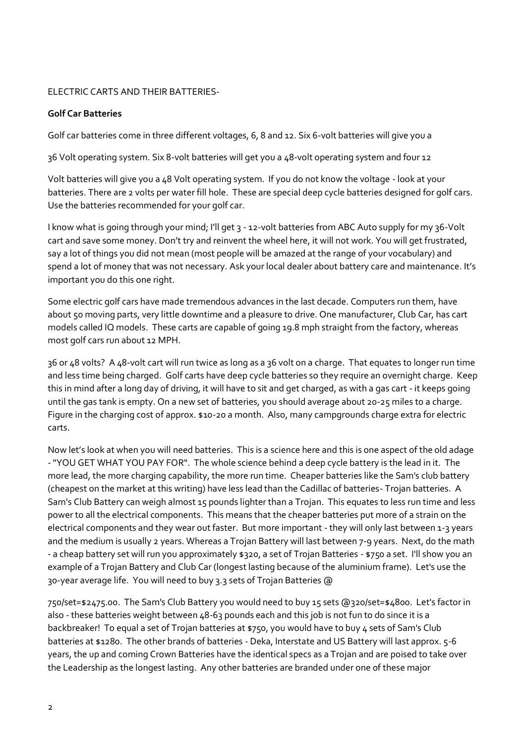#### ELECTRIC CARTS AND THEIR BATTERIES-

#### **Golf Car Batteries**

Golf car batteries come in three different voltages, 6, 8 and 12. Six 6-volt batteries will give you a

36 Volt operating system. Six 8-volt batteries will get you a 48-volt operating system and four 12

Volt batteries will give you a 48 Volt operating system. If you do not know the voltage - look at your batteries. There are 2 volts per water fill hole. These are special deep cycle batteries designed for golf cars. Use the batteries recommended for your golf car.

I know what is going through your mind; I'll get 3 - 12-volt batteries from ABC Auto supply for my 36-Volt cart and save some money. Don't try and reinvent the wheel here, it will not work. You will get frustrated, say a lot of things you did not mean (most people will be amazed at the range of your vocabulary) and spend a lot of money that was not necessary. Ask your local dealer about battery care and maintenance. It's important you do this one right.

Some electric golf cars have made tremendous advances in the last decade. Computers run them, have about 50 moving parts, very little downtime and a pleasure to drive. One manufacturer, Club Car, has cart models called IQ models. These carts are capable of going 19.8 mph straight from the factory, whereas most golf cars run about 12 MPH.

36 or 48 volts? A 48-volt cart will run twice as long as a 36 volt on a charge. That equates to longer run time and less time being charged. Golf carts have deep cycle batteries so they require an overnight charge. Keep this in mind after a long day of driving, it will have to sit and get charged, as with a gas cart - it keeps going until the gas tank is empty. On a new set of batteries, you should average about 20-25 miles to a charge. Figure in the charging cost of approx. \$10-20 a month. Also, many campgrounds charge extra for electric carts.

Now let's look at when you will need batteries. This is a science here and this is one aspect of the old adage - "YOU GET WHAT YOU PAY FOR". The whole science behind a deep cycle battery is the lead in it. The more lead, the more charging capability, the more run time. Cheaper batteries like the Sam's club battery (cheapest on the market at this writing) have less lead than the Cadillac of batteries- Trojan batteries. A Sam's Club Battery can weigh almost 15 pounds lighter than a Trojan. This equates to less run time and less power to all the electrical components. This means that the cheaper batteries put more of a strain on the electrical components and they wear out faster. But more important - they will only last between 1-3 years and the medium is usually 2 years. Whereas a Trojan Battery will last between 7-9 years. Next, do the math - a cheap battery set will run you approximately \$320, a set of Trojan Batteries - \$750 a set. I'll show you an example of a Trojan Battery and Club Car (longest lasting because of the aluminium frame). Let's use the 30-year average life. You will need to buy 3.3 sets of Trojan Batteries @

750/set=\$2475.00. The Sam's Club Battery you would need to buy 15 sets @320/set=\$4800. Let's factor in also - these batteries weight between 48-63 pounds each and this job is not fun to do since it is a backbreaker! To equal a set of Trojan batteries at \$750, you would have to buy 4 sets of Sam's Club batteries at \$1280. The other brands of batteries - Deka, Interstate and US Battery will last approx. 5-6 years, the up and coming Crown Batteries have the identical specs as a Trojan and are poised to take over the Leadership as the longest lasting. Any other batteries are branded under one of these major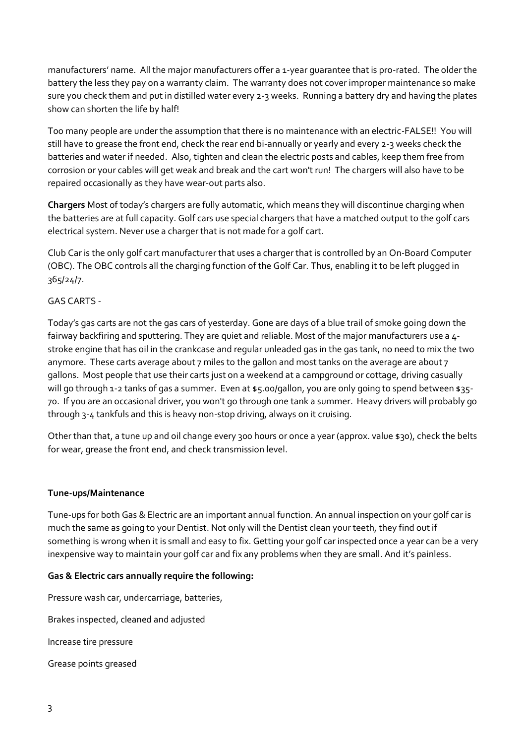manufacturers' name. All the major manufacturers offer a 1-year guarantee that is pro-rated. The older the battery the less they pay on a warranty claim. The warranty does not cover improper maintenance so make sure you check them and put in distilled water every 2-3 weeks. Running a battery dry and having the plates show can shorten the life by half!

Too many people are under the assumption that there is no maintenance with an electric-FALSE!! You will still have to grease the front end, check the rear end bi-annually or yearly and every 2-3 weeks check the batteries and water if needed. Also, tighten and clean the electric posts and cables, keep them free from corrosion or your cables will get weak and break and the cart won't run! The chargers will also have to be repaired occasionally as they have wear-out parts also.

**Chargers** Most of today's chargers are fully automatic, which means they will discontinue charging when the batteries are at full capacity. Golf cars use special chargers that have a matched output to the golf cars electrical system. Never use a charger that is not made for a golf cart.

Club Car is the only golf cart manufacturer that uses a charger that is controlled by an On-Board Computer (OBC). The OBC controls all the charging function of the Golf Car. Thus, enabling it to be left plugged in 365/24/7.

# GAS CARTS -

Today's gas carts are not the gas cars of yesterday. Gone are days of a blue trail of smoke going down the fairway backfiring and sputtering. They are quiet and reliable. Most of the major manufacturers use a 4 stroke engine that has oil in the crankcase and regular unleaded gas in the gas tank, no need to mix the two anymore. These carts average about 7 miles to the gallon and most tanks on the average are about 7 gallons. Most people that use their carts just on a weekend at a campground or cottage, driving casually will go through 1-2 tanks of gas a summer. Even at \$5.00/gallon, you are only going to spend between \$35-70. If you are an occasional driver, you won't go through one tank a summer. Heavy drivers will probably go through 3-4 tankfuls and this is heavy non-stop driving, always on it cruising.

Other than that, a tune up and oil change every 300 hours or once a year (approx. value \$30), check the belts for wear, grease the front end, and check transmission level.

#### **Tune-ups/Maintenance**

Tune-ups for both Gas & Electric are an important annual function. An annual inspection on your golf car is much the same as going to your Dentist. Not only will the Dentist clean your teeth, they find out if something is wrong when it is small and easy to fix. Getting your golf car inspected once a year can be a very inexpensive way to maintain your golf car and fix any problems when they are small. And it's painless.

# **Gas & Electric cars annually require the following:**

Pressure wash car, undercarriage, batteries, Brakes inspected, cleaned and adjusted Increase tire pressure Grease points greased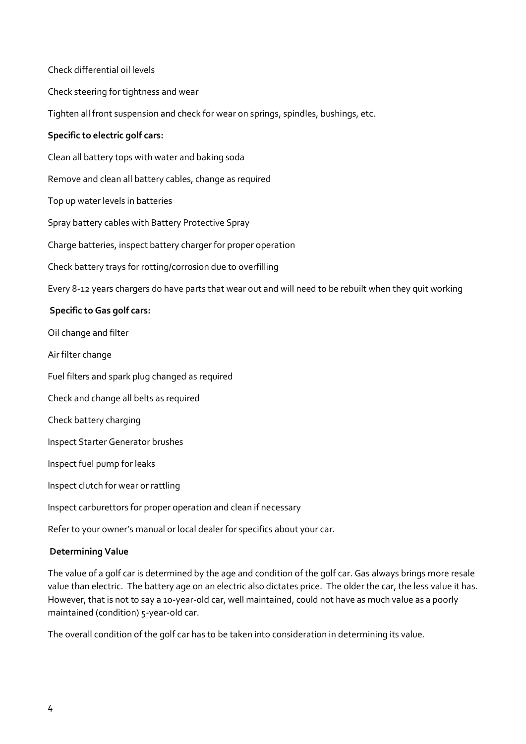Check differential oil levels Check steering for tightness and wear Tighten all front suspension and check for wear on springs, spindles, bushings, etc. **Specific to electric golf cars:** Clean all battery tops with water and baking soda Remove and clean all battery cables, change as required Top up water levels in batteries Spray battery cables with Battery Protective Spray Charge batteries, inspect battery charger for proper operation Check battery trays for rotting/corrosion due to overfilling Every 8-12 years chargers do have parts that wear out and will need to be rebuilt when they quit working **Specific to Gas golf cars:** Oil change and filter Air filter change Fuel filters and spark plug changed as required Check and change all belts as required Check battery charging Inspect Starter Generator brushes Inspect fuel pump for leaks Inspect clutch for wear or rattling Inspect carburettors for proper operation and clean if necessary Refer to your owner's manual or local dealer for specifics about your car.

#### **Determining Value**

The value of a golf car is determined by the age and condition of the golf car. Gas always brings more resale value than electric. The battery age on an electric also dictates price. The older the car, the less value it has. However, that is not to say a 10-year-old car, well maintained, could not have as much value as a poorly maintained (condition) 5-year-old car.

The overall condition of the golf car has to be taken into consideration in determining its value.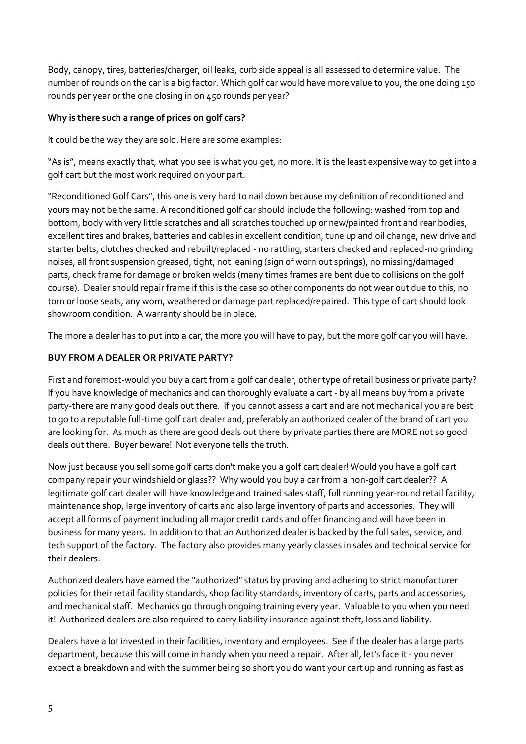Body, canopy, tires, batteries/charger, oil leaks, curb side appeal is all assessed to determine value. The number of rounds on the car is a big factor. Which golf car would have more value to you, the one doing 150 rounds per year or the one closing in on 450 rounds per year?

## **Why is there such a range of prices on golf cars?**

It could be the way they are sold. Here are some examples:

"As is", means exactly that, what you see is what you get, no more. It is the least expensive way to get into a golf cart but the most work required on your part.

"Reconditioned Golf Cars", this one is very hard to nail down because my definition of reconditioned and yours may not be the same. A reconditioned golf car should include the following: washed from top and bottom, body with very little scratches and all scratches touched up or new/painted front and rear bodies, excellent tires and brakes, batteries and cables in excellent condition, tune up and oil change, new drive and starter belts, clutches checked and rebuilt/replaced - no rattling, starters checked and replaced-no grinding noises, all front suspension greased, tight, not leaning (sign of worn out springs), no missing/damaged parts, check frame for damage or broken welds (many times frames are bent due to collisions on the golf course). Dealer should repair frame if this is the case so other components do not wear out due to this, no torn or loose seats, any worn, weathered or damage part replaced/repaired. This type of cart should look showroom condition. A warranty should be in place.

The more a dealer has to put into a car, the more you will have to pay, but the more golf car you will have.

# **BUY FROM A DEALER OR PRIVATE PARTY?**

First and foremost-would you buy a cart from a golf car dealer, other type of retail business or private party? If you have knowledge of mechanics and can thoroughly evaluate a cart - by all means buy from a private party-there are many good deals out there. If you cannot assess a cart and are not mechanical you are best to go to a reputable full-time golf cart dealer and, preferably an authorized dealer of the brand of cart you are looking for. As much as there are good deals out there by private parties there are MORE not so good deals out there. Buyer beware! Not everyone tells the truth.

Now just because you sell some golf carts don't make you a golf cart dealer! Would you have a golf cart company repair your windshield or glass?? Why would you buy a car from a non-golf cart dealer?? A legitimate golf cart dealer will have knowledge and trained sales staff, full running year-round retail facility, maintenance shop, large inventory of carts and also large inventory of parts and accessories. They will accept all forms of payment including all major credit cards and offer financing and will have been in business for many years. In addition to that an Authorized dealer is backed by the full sales, service, and tech support of the factory. The factory also provides many yearly classes in sales and technical service for their dealers.

Authorized dealers have earned the "authorized" status by proving and adhering to strict manufacturer policies for their retail facility standards, shop facility standards, inventory of carts, parts and accessories, and mechanical staff. Mechanics go through ongoing training every year. Valuable to you when you need it! Authorized dealers are also required to carry liability insurance against theft, loss and liability.

Dealers have a lot invested in their facilities, inventory and employees. See if the dealer has a large parts department, because this will come in handy when you need a repair. After all, let's face it - you never expect a breakdown and with the summer being so short you do want your cart up and running as fast as